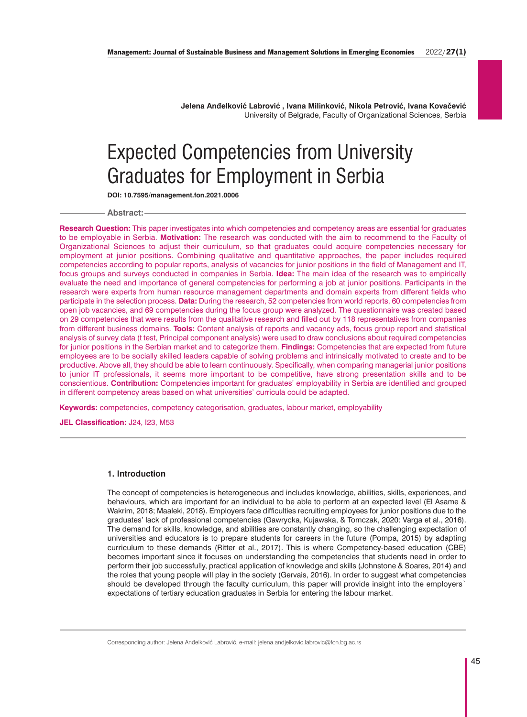**Jelena Anđelković Labrović , Ivana Milinković, Nikola Petrović, Ivana Kovačević** University of Belgrade, Faculty of Organizational Sciences, Serbia

# Expected Competencies from University Graduates for Employment in Serbia

**DOI: 10.7595/management.fon.2021.0006**

#### **Abstract:**

**Research Question:** This paper investigates into which competencies and competency areas are essential for graduates to be employable in Serbia. **Motivation:** The research was conducted with the aim to recommend to the Faculty of Organizational Sciences to adjust their curriculum, so that graduates could acquire competencies necessary for employment at junior positions. Combining qualitative and quantitative approaches, the paper includes required competencies according to popular reports, analysis of vacancies for junior positions in the field of Management and IT, focus groups and surveys conducted in companies in Serbia. **Idea:** The main idea of the research was to empirically evaluate the need and importance of general competencies for performing a job at junior positions. Participants in the research were experts from human resource management departments and domain experts from different fields who participate in the selection process. **Data:** During the research, 52 competencies from world reports, 60 competencies from open job vacancies, and 69 competencies during the focus group were analyzed. The questionnaire was created based on 29 competencies that were results from the qualitative research and filled out by 118 representatives from companies from different business domains. **Tools:** Content analysis of reports and vacancy ads, focus group report and statistical analysis of survey data (t test, Principal component analysis) were used to draw conclusions about required competencies for junior positions in the Serbian market and to categorize them. **Findings:** Competencies that are expected from future employees are to be socially skilled leaders capable of solving problems and intrinsically motivated to create and to be productive. Above all, they should be able to learn continuously. Specifically, when comparing managerial junior positions to junior IT professionals, it seems more important to be competitive, have strong presentation skills and to be conscientious. **Contribution:** Competencies important for graduates' employability in Serbia are identified and grouped in different competency areas based on what universities' curricula could be adapted.

**Keywords:** competencies, competency categorisation, graduates, labour market, employability

**JEL Classification:** J24, I23, M53

## **1. Introduction**

The concept of competencies is heterogeneous and includes knowledge, abilities, skills, experiences, and behaviours, which are important for an individual to be able to perform at an expected level (El Asame & Wakrim, 2018; Maaleki, 2018). Employers face difficulties recruiting employees for junior positions due to the graduates' lack of professional competencies (Gawrycka, Kujawska, & Tomczak, 2020: Varga et al., 2016). The demand for skills, knowledge, and abilities are constantly changing, so the challenging expectation of universities and educators is to prepare students for careers in the future (Pompa, 2015) by adapting curriculum to these demands (Ritter et al., 2017). This is where Competency-based education (CBE) becomes important since it focuses on understanding the competencies that students need in order to perform their job successfully, practical application of knowledge and skills (Johnstone & Soares, 2014) and the roles that young people will play in the society (Gervais, 2016). In order to suggest what competencies should be developed through the faculty curriculum, this paper will provide insight into the employers` expectations of tertiary education graduates in Serbia for entering the labour market.

Corresponding author: Jelena Anđelković Labrović, e-mail: jelena.andjelkovic.labrovic@fon.bg.ac.rs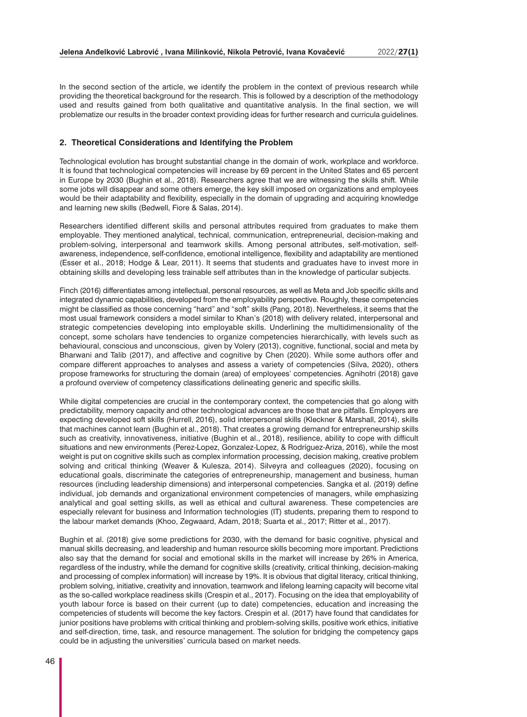In the second section of the article, we identify the problem in the context of previous research while providing the theoretical background for the research. This is followed by a description of the methodology used and results gained from both qualitative and quantitative analysis. In the final section, we will problematize our results in the broader context providing ideas for further research and curricula guidelines.

#### **2. Theoretical Considerations and Identifying the Problem**

Technological evolution has brought substantial change in the domain of work, workplace and workforce. It is found that technological competencies will increase by 69 percent in the United States and 65 percent in Europe by 2030 (Bughin et al., 2018). Researchers agree that we are witnessing the skills shift. While some jobs will disappear and some others emerge, the key skill imposed on organizations and employees would be their adaptability and flexibility, especially in the domain of upgrading and acquiring knowledge and learning new skills (Bedwell, Fiore & Salas, 2014).

Researchers identified different skills and personal attributes required from graduates to make them employable. They mentioned analytical, technical, communication, entrepreneurial, decision-making and problem-solving, interpersonal and teamwork skills. Among personal attributes, self-motivation, selfawareness, independence, self-confidence, emotional intelligence, flexibility and adaptability are mentioned (Esser et al., 2018; Hodge & Lear, 2011). It seems that students and graduates have to invest more in obtaining skills and developing less trainable self attributes than in the knowledge of particular subjects.

Finch (2016) differentiates among intellectual, personal resources, as well as Meta and Job specific skills and integrated dynamic capabilities, developed from the employability perspective. Roughly, these competencies might be classified as those concerning "hard" and "soft" skills (Pang, 2018). Nevertheless, it seems that the most usual framework considers a model similar to Khan's (2018) with delivery related, interpersonal and strategic competencies developing into employable skills. Underlining the multidimensionality of the concept, some scholars have tendencies to organize competencies hierarchically, with levels such as behavioural, conscious and unconscious, given by Volery (2013), cognitive, functional, social and meta by Bharwani and Talib (2017), and affective and cognitive by Chen (2020). While some authors offer and compare different approaches to analyses and assess a variety of competencies (Silva, 2020), others propose frameworks for structuring the domain (area) of employees' competencies. Agnihotri (2018) gave a profound overview of competency classifications delineating generic and specific skills.

While digital competencies are crucial in the contemporary context, the competencies that go along with predictability, memory capacity and other technological advances are those that are pitfalls. Employers are expecting developed soft skills (Hurrell, 2016), solid interpersonal skills (Kleckner & Marshall, 2014), skills that machines cannot learn (Bughin et al., 2018). That creates a growing demand for entrepreneurship skills such as creativity, innovativeness, initiative (Bughin et al., 2018), resilience, ability to cope with difficult situations and new environments (Perez-Lopez, Gonzalez-Lopez, & Rodríguez-Ariza, 2016), while the most weight is put on cognitive skills such as complex information processing, decision making, creative problem solving and critical thinking (Weaver & Kulesza, 2014). Silveyra and colleagues (2020), focusing on educational goals, discriminate the categories of entrepreneurship, management and business, human resources (including leadership dimensions) and interpersonal competencies. Sangka et al. (2019) define individual, job demands and organizational environment competencies of managers, while emphasizing analytical and goal setting skills, as well as ethical and cultural awareness. These competencies are especially relevant for business and Information technologies (IT) students, preparing them to respond to the labour market demands (Khoo, Zegwaard, Adam, 2018; Suarta et al., 2017; Ritter et al., 2017).

Bughin et al. (2018) give some predictions for 2030, with the demand for basic cognitive, physical and manual skills decreasing, and leadership and human resource skills becoming more important. Predictions also say that the demand for social and emotional skills in the market will increase by 26% in America, regardless of the industry, while the demand for cognitive skills (creativity, critical thinking, decision-making and processing of complex information) will increase by 19%. It is obvious that digital literacy, critical thinking, problem solving, initiative, creativity and innovation, teamwork and lifelong learning capacity will become vital as the so-called workplace readiness skills (Crespin et al., 2017). Focusing on the idea that employability of youth labour force is based on their current (up to date) competencies, education and increasing the competencies of students will become the key factors. Crespin et al. (2017) have found that candidates for junior positions have problems with critical thinking and problem-solving skills, positive work ethics, initiative and self-direction, time, task, and resource management. The solution for bridging the competency gaps could be in adjusting the universities' curricula based on market needs.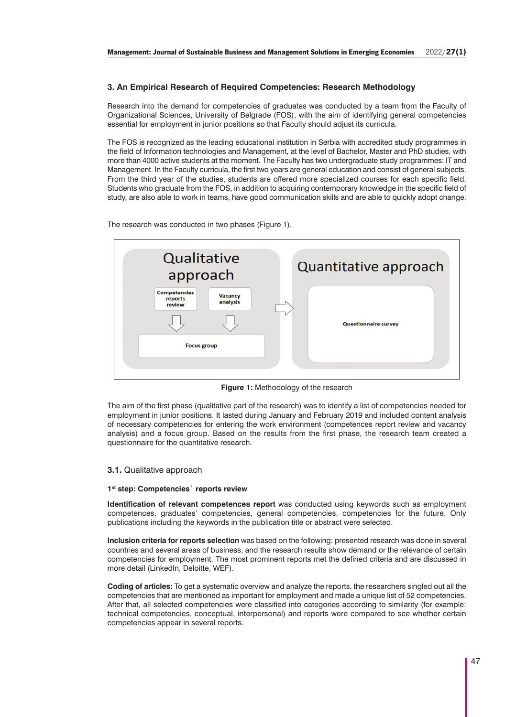# **3. An Empirical Research of Required Competencies: Research Methodology**

Research into the demand for competencies of graduates was conducted by a team from the Faculty of Organizational Sciences, University of Belgrade (FOS), with the aim of identifying general competencies essential for employment in junior positions so that Faculty should adjust its curricula.

The FOS is recognized as the leading educational institution in Serbia with accredited study programmes in the field of Information technologies and Management, at the level of Bachelor, Master and PhD studies, with more than 4000 active students at the moment. The Faculty has two undergraduate study programmes: IT and Management. In the Faculty curricula, the first two years are general education and consist of general subjects. From the third year of the studies, students are offered more specialized courses for each specific field. Students who graduate from the FOS, in addition to acquiring contemporary knowledge in the specific field of study, are also able to work in teams, have good communication skills and are able to quickly adopt change.

The research was conducted in two phases (Figure 1).



**Figure 1:** Methodology of the research

The aim of the first phase (qualitative part of the research) was to identify a list of competencies needed for employment in junior positions. It lasted during January and February 2019 and included content analysis of necessary competencies for entering the work environment (competences report review and vacancy analysis) and a focus group. Based on the results from the first phase, the research team created a questionnaire for the quantitative research.

# **3.1.** Qualitative approach

## **1st step: Competencies` reports review**

**Identification of relevant competences report** was conducted using keywords such as employment competences, graduates' competencies, general competencies, competencies for the future. Only publications including the keywords in the publication title or abstract were selected.

**Inclusion criteria for reports selection** was based on the following: presented research was done in several countries and several areas of business, and the research results show demand or the relevance of certain competencies for employment. The most prominent reports met the defined criteria and are discussed in more detail (LinkedIn, Deloitte, WEF).

**Coding of articles:** To get a systematic overview and analyze the reports, the researchers singled out all the competencies that are mentioned as important for employment and made a unique list of 52 competencies. After that, all selected competencies were classified into categories according to similarity (for example: technical competencies, conceptual, interpersonal) and reports were compared to see whether certain competencies appear in several reports.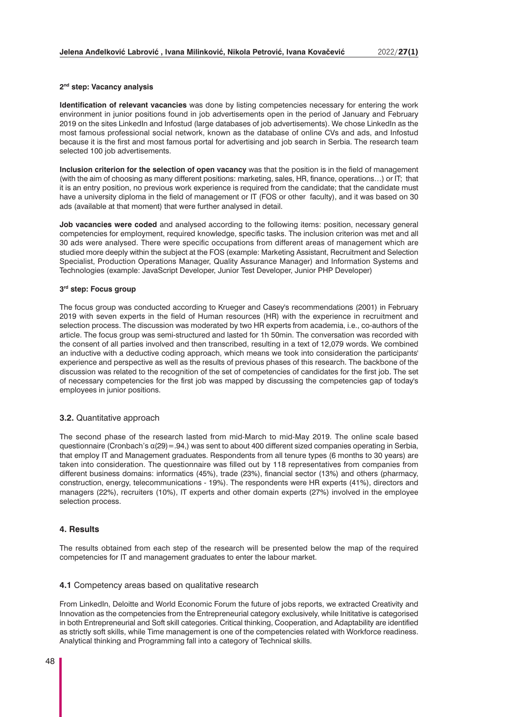#### **2nd step: Vacancy analysis**

**Identification of relevant vacancies** was done by listing competencies necessary for entering the work environment in junior positions found in job advertisements open in the period of January and February 2019 on the sites LinkedIn and Infostud (large databases of job advertisements). We chose LinkedIn as the most famous professional social network, known as the database of online CVs and ads, and Infostud because it is the first and most famous portal for advertising and job search in Serbia. The research team selected 100 job advertisements.

**Inclusion criterion for the selection of open vacancy** was that the position is in the field of management (with the aim of choosing as many different positions: marketing, sales, HR, finance, operations…) or IT; that it is an entry position, no previous work experience is required from the candidate; that the candidate must have a university diploma in the field of management or IT (FOS or other faculty), and it was based on 30 ads (available at that moment) that were further analysed in detail.

**Job vacancies were coded** and analysed according to the following items: position, necessary general competencies for employment, required knowledge, specific tasks. The inclusion criterion was met and all 30 ads were analysed. There were specific occupations from different areas of management which are studied more deeply within the subject at the FOS (example: Marketing Assistant, Recruitment and Selection Specialist, Production Operations Manager, Quality Assurance Manager) and Information Systems and Technologies (example: JavaScript Developer, Junior Test Developer, Junior PHP Developer)

#### **3rd step: Focus group**

The focus group was conducted according to Krueger and Casey's recommendations (2001) in February 2019 with seven experts in the field of Human resources (HR) with the experience in recruitment and selection process. The discussion was moderated by two HR experts from academia, i.e., co-authors of the article. The focus group was semi-structured and lasted for 1h 50min. The conversation was recorded with the consent of all parties involved and then transcribed, resulting in a text of 12,079 words. We combined an inductive with a deductive coding approach, which means we took into consideration the participants' experience and perspective as well as the results of previous phases of this research. The backbone of the discussion was related to the recognition of the set of competencies of candidates for the first job. The set of necessary competencies for the first job was mapped by discussing the competencies gap of today's employees in junior positions.

## **3.2.** Quantitative approach

The second phase of the research lasted from mid-March to mid-May 2019. The online scale based questionnaire (Cronbach's α(29)=.94,) was sent to about 400 different sized companies operating in Serbia, that employ IT and Management graduates. Respondents from all tenure types (6 months to 30 years) are taken into consideration. The questionnaire was filled out by 118 representatives from companies from different business domains: informatics (45%), trade (23%), financial sector (13%) and others (pharmacy, construction, energy, telecommunications - 19%). The respondents were HR experts (41%), directors and managers (22%), recruiters (10%), IT experts and other domain experts (27%) involved in the employee selection process.

# **4. Results**

The results obtained from each step of the research will be presented below the map of the required competencies for IT and management graduates to enter the labour market.

#### **4.1** Competency areas based on qualitative research

From LinkedIn, Deloitte and World Economic Forum the future of jobs reports, we extracted Creativity and Innovation as the competencies from the Entrepreneurial category exclusively, while Inititative is categorised in both Entrepreneurial and Soft skill categories. Critical thinking, Cooperation, and Adaptability are identified as strictly soft skills, while Time management is one of the competencies related with Workforce readiness. Analytical thinking and Programming fall into a category of Technical skills.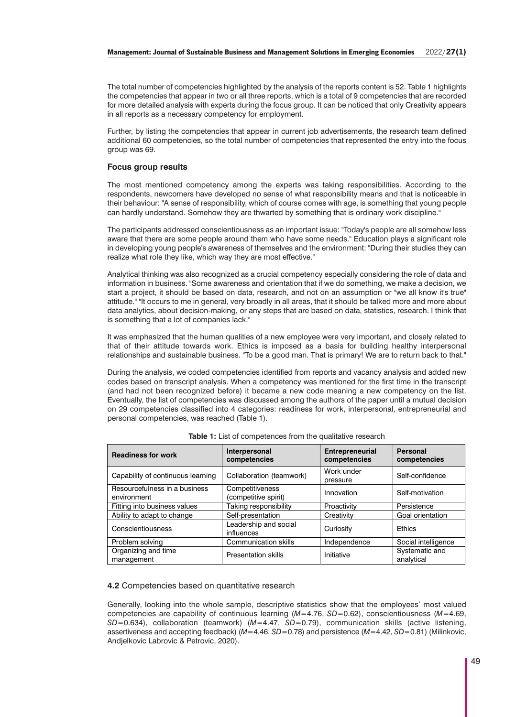The total number of competencies highlighted by the analysis of the reports content is 52. Table 1 highlights the competencies that appear in two or all three reports, which is a total of 9 competencies that are recorded for more detailed analysis with experts during the focus group. It can be noticed that only Creativity appears in all reports as a necessary competency for employment.

Further, by listing the competencies that appear in current job advertisements, the research team defined additional 60 competencies, so the total number of competencies that represented the entry into the focus group was 69.

# **Focus group results**

The most mentioned competency among the experts was taking responsibilities. According to the respondents, newcomers have developed no sense of what responsibility means and that is noticeable in their behaviour: "A sense of responsibility, which of course comes with age, is something that young people can hardly understand. Somehow they are thwarted by something that is ordinary work discipline."

The participants addressed conscientiousness as an important issue: "Today's people are all somehow less aware that there are some people around them who have some needs." Education plays a significant role in developing young people's awareness of themselves and the environment: "During their studies they can realize what role they like, which way they are most effective."

Analytical thinking was also recognized as a crucial competency especially considering the role of data and information in business. "Some awareness and orientation that if we do something, we make a decision, we start a project, it should be based on data, research, and not on an assumption or "we all know it's true" attitude." "It occurs to me in general, very broadly in all areas, that it should be talked more and more about data analytics, about decision-making, or any steps that are based on data, statistics, research. I think that is something that a lot of companies lack."

It was emphasized that the human qualities of a new employee were very important, and closely related to that of their attitude towards work. Ethics is imposed as a basis for building healthy interpersonal relationships and sustainable business. "To be a good man. That is primary! We are to return back to that."

During the analysis, we coded competencies identified from reports and vacancy analysis and added new codes based on transcript analysis. When a competency was mentioned for the first time in the transcript (and had not been recognized before) it became a new code meaning a new competency on the list. Eventually, the list of competencies was discussed among the authors of the paper until a mutual decision on 29 competencies classified into 4 categories: readiness for work, interpersonal, entrepreneurial and personal competencies, was reached (Table 1).

| <b>Readiness for work</b>                    | Interpersonal<br>competencies           | <b>Entrepreneurial</b><br>competencies | Personal<br>competencies     |  |
|----------------------------------------------|-----------------------------------------|----------------------------------------|------------------------------|--|
| Capability of continuous learning            | Collaboration (teamwork)                | Work under<br>pressure                 | Self-confidence              |  |
| Resourcefulness in a business<br>environment | Competitiveness<br>(competitive spirit) | Innovation                             | Self-motivation              |  |
| Fitting into business values                 | Taking responsibility                   | Proactivity                            | Persistence                  |  |
| Ability to adapt to change                   | Self-presentation                       | Creativity                             | Goal orientation             |  |
| Conscientiousness                            | Leadership and social<br>influences     | Curiosity                              | <b>Ethics</b>                |  |
| Problem solving                              | <b>Communication skills</b>             | Independence                           | Social intelligence          |  |
| Organizing and time<br>management            | <b>Presentation skills</b>              | Initiative                             | Systematic and<br>analytical |  |

#### Table 1: List of competences from the qualitative research

# **4.2** Competencies based on quantitative research

Generally, looking into the whole sample, descriptive statistics show that the employees' most valued competencies are capability of continuous learning (*M*=4.76, *SD*=0.62), conscientiousness (*M*=4.69, *SD*=0.634), collaboration (teamwork) (*M*=4.47, *SD*=0.79), communication skills (active listening, assertiveness and accepting feedback) (*M*=4.46, *SD*=0.78) and persistence (*M*=4.42, *SD*=0.81) (Milinkovic, Andjelkovic Labrovic & Petrovic, 2020).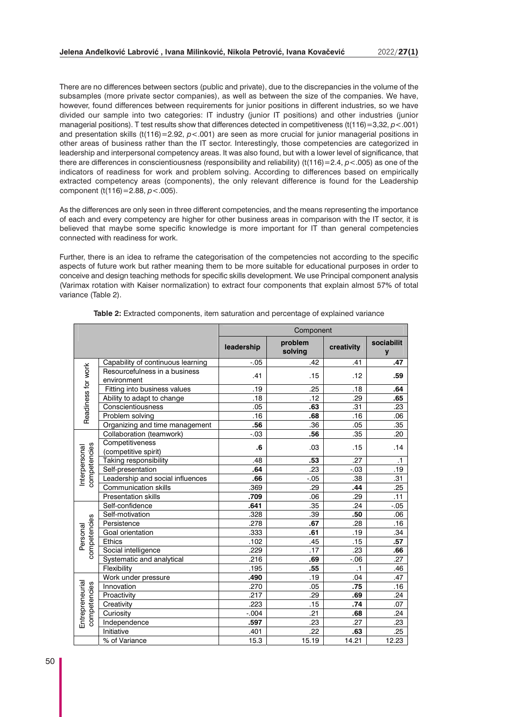There are no differences between sectors (public and private), due to the discrepancies in the volume of the subsamples (more private sector companies), as well as between the size of the companies. We have, however, found differences between requirements for junior positions in different industries, so we have divided our sample into two categories: IT industry (junior IT positions) and other industries (junior managerial positions). T test results show that differences detected in competitiveness (t(116)=3,32, *p*<.001) and presentation skills (t(116)=2.92,  $p < .001$ ) are seen as more crucial for junior managerial positions in other areas of business rather than the IT sector. Interestingly, those competencies are categorized in leadership and interpersonal competency areas. It was also found, but with a lower level of significance, that there are differences in conscientiousness (responsibility and reliability) (t(116)=2.4, *p*<.005) as one of the indicators of readiness for work and problem solving. According to differences based on empirically extracted competency areas (components), the only relevant difference is found for the Leadership component (t(116)=2.88, *p*<.005).

As the differences are only seen in three different competencies, and the means representing the importance of each and every competency are higher for other business areas in comparison with the IT sector, it is believed that maybe some specific knowledge is more important for IT than general competencies connected with readiness for work.

Further, there is an idea to reframe the categorisation of the competencies not according to the specific aspects of future work but rather meaning them to be more suitable for educational purposes in order to conceive and design teaching methods for specific skills development. We use Principal component analysis (Varimax rotation with Kaiser normalization) to extract four components that explain almost 57% of total variance (Table 2).

|                                 |                                              | Component  |                    |                  |                 |  |
|---------------------------------|----------------------------------------------|------------|--------------------|------------------|-----------------|--|
|                                 |                                              | leadership | problem<br>solving | creativity       | sociabilit<br>y |  |
| Readiness for work              | Capability of continuous learning            | $-.05$     | .42                | .41              | .47             |  |
|                                 | Resourcefulness in a business<br>environment | .41        | .15                | .12              | .59             |  |
|                                 | Fitting into business values                 | .19        | .25                | .18              | .64             |  |
|                                 | Ability to adapt to change                   | .18        | .12                | .29              | .65             |  |
|                                 | Conscientiousness                            | .05        | .63                | .31              | .23             |  |
|                                 | Problem solving                              | .16        | .68                | .16              | .06             |  |
|                                 | Organizing and time management               | .56        | .36                | .05              | .35             |  |
| competencies<br>Interpersonal   | Collaboration (teamwork)                     | $-.03$     | .56                | .35              | .20             |  |
|                                 | Competitiveness<br>(competitive spirit)      | .6         | .03                | .15              | .14             |  |
|                                 | Taking responsibility                        | .48        | .53                | .27              | $\cdot$ 1       |  |
|                                 | Self-presentation                            | .64        | .23                | $-.03$           | .19             |  |
|                                 | Leadership and social influences             | .66        | $-0.05$            | .38              | .31             |  |
|                                 | <b>Communication skills</b>                  | .369       | .29                | .44              | .25             |  |
|                                 | <b>Presentation skills</b>                   | .709       | .06                | .29              | .11             |  |
| competencies<br>Personal        | Self-confidence                              | .641       | .35                | .24              | $-.05$          |  |
|                                 | Self-motivation                              | .328       | .39                | .50              | .06             |  |
|                                 | Persistence                                  | .278       | .67                | .28              | .16             |  |
|                                 | Goal orientation                             | .333       | .61                | .19              | .34             |  |
|                                 | <b>Ethics</b>                                | .102       | .45                | .15              | .57             |  |
|                                 | Social intelligence                          | .229       | .17                | $\overline{.23}$ | .66             |  |
|                                 | Systematic and analytical                    | .216       | .69                | $-0.06$          | .27             |  |
|                                 | Flexibility                                  | .195       | .55                | $\cdot$ 1        | .46             |  |
| Entrepreneurial<br>competencies | Work under pressure                          | .490       | .19                | .04              | .47             |  |
|                                 | Innovation                                   | .270       | .05                | .75              | .16             |  |
|                                 | Proactivity                                  | .217       | .29                | .69              | .24             |  |
|                                 | Creativity                                   | .223       | .15                | .74              | .07             |  |
|                                 | Curiosity                                    | $-0.004$   | .21                | .68              | .24             |  |
|                                 | Independence                                 | .597       | .23                | .27              | .23             |  |
|                                 | Initiative                                   | .401       | .22                | .63              | .25             |  |
|                                 | % of Variance                                | 15.3       | 15.19              | 14.21            | 12.23           |  |

**Table 2:** Extracted components, item saturation and percentage of explained variance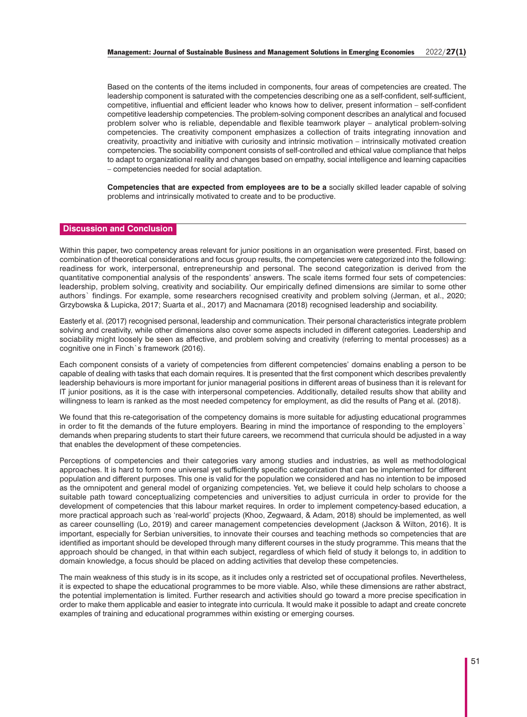Based on the contents of the items included in components, four areas of competencies are created. The leadership component is saturated with the competencies describing one as a self-confident, self-sufficient, competitive, influential and efficient leader who knows how to deliver, present information – self-confident competitive leadership competencies. The problem-solving component describes an analytical and focused problem solver who is reliable, dependable and flexible teamwork player – analytical problem-solving competencies. The creativity component emphasizes a collection of traits integrating innovation and creativity, proactivity and initiative with curiosity and intrinsic motivation – intrinsically motivated creation competencies. The sociability component consists of self-controlled and ethical value compliance that helps to adapt to organizational reality and changes based on empathy, social intelligence and learning capacities – competencies needed for social adaptation.

**Competencies that are expected from employees are to be a** socially skilled leader capable of solving problems and intrinsically motivated to create and to be productive.

# **Discussion and Conclusion**

Within this paper, two competency areas relevant for junior positions in an organisation were presented. First, based on combination of theoretical considerations and focus group results, the competencies were categorized into the following: readiness for work, interpersonal, entrepreneurship and personal. The second categorization is derived from the quantitative componential analysis of the respondents' answers. The scale items formed four sets of competencies: leadership, problem solving, creativity and sociability. Our empirically defined dimensions are similar to some other authors` findings. For example, some researchers recognised creativity and problem solving (Jerman, et al., 2020; Grzybowska & Lupicka, 2017; Suarta et al., 2017) and Macnamara (2018) recognised leadership and sociability.

Easterly et al. (2017) recognised personal, leadership and communication. Their personal characteristics integrate problem solving and creativity, while other dimensions also cover some aspects included in different categories. Leadership and sociability might loosely be seen as affective, and problem solving and creativity (referring to mental processes) as a cognitive one in Finch`s framework (2016).

Each component consists of a variety of competencies from different competencies' domains enabling a person to be capable of dealing with tasks that each domain requires. It is presented that the first component which describes prevalently leadership behaviours is more important for junior managerial positions in different areas of business than it is relevant for IT junior positions, as it is the case with interpersonal competencies. Additionally, detailed results show that ability and willingness to learn is ranked as the most needed competency for employment, as did the results of Pang et al. (2018).

We found that this re-categorisation of the competency domains is more suitable for adjusting educational programmes in order to fit the demands of the future employers. Bearing in mind the importance of responding to the employers` demands when preparing students to start their future careers, we recommend that curricula should be adjusted in a way that enables the development of these competencies.

Perceptions of competencies and their categories vary among studies and industries, as well as methodological approaches. It is hard to form one universal yet sufficiently specific categorization that can be implemented for different population and different purposes. This one is valid for the population we considered and has no intention to be imposed as the omnipotent and general model of organizing competencies. Yet, we believe it could help scholars to choose a suitable path toward conceptualizing competencies and universities to adjust curricula in order to provide for the development of competencies that this labour market requires. In order to implement competency-based education, a more practical approach such as 'real-world' projects (Khoo, Zegwaard, & Adam, 2018) should be implemented, as well as career counselling (Lo, 2019) and career management competencies development (Jackson & Wilton, 2016). It is important, especially for Serbian universities, to innovate their courses and teaching methods so competencies that are identified as important should be developed through many different courses in the study programme. This means that the approach should be changed, in that within each subject, regardless of which field of study it belongs to, in addition to domain knowledge, a focus should be placed on adding activities that develop these competencies.

The main weakness of this study is in its scope, as it includes only a restricted set of occupational profiles. Nevertheless, it is expected to shape the educational programmes to be more viable. Also, while these dimensions are rather abstract, the potential implementation is limited. Further research and activities should go toward a more precise specification in order to make them applicable and easier to integrate into curricula. It would make it possible to adapt and create concrete examples of training and educational programmes within existing or emerging courses.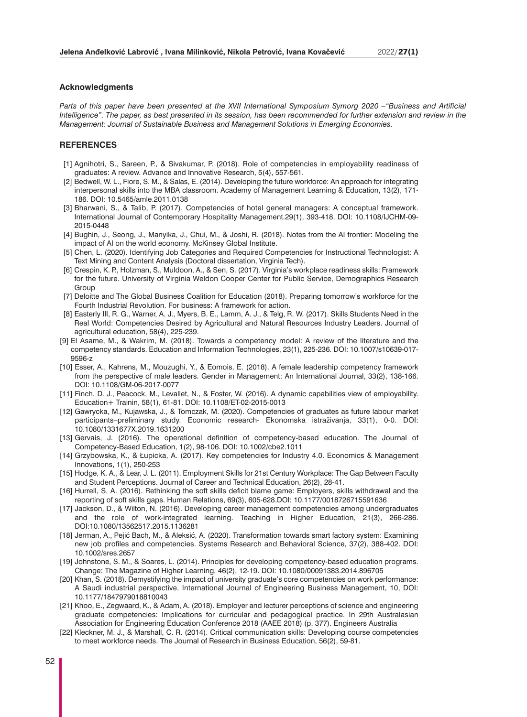#### **Acknowledgments**

*Parts of this paper have been presented at the XVII International Symposium Symorg 2020 –"Business and Artificial Intelligence". The paper, as best presented in its session, has been recommended for further extension and review in the Management: Journal of Sustainable Business and Management Solutions in Emerging Economies.*

# **REFERENCES**

- [1] Agnihotri, S., Sareen, P., & Sivakumar, P. (2018). Role of competencies in employability readiness of graduates: A review. Advance and Innovative Research, 5(4), 557-561.
- [2] Bedwell, W. L., Fiore, S. M., & Salas, E. (2014). Developing the future workforce: An approach for integrating interpersonal skills into the MBA classroom. Academy of Management Learning & Education, 13(2), 171- 186. DOI: 10.5465/amle.2011.0138
- [3] Bharwani, S., & Talib, P. (2017). Competencies of hotel general managers: A conceptual framework. International Journal of Contemporary Hospitality Management.29(1), 393-418. DOI: 10.1108/IJCHM-09- 2015-0448
- [4] Bughin, J., Seong, J., Manyika, J., Chui, M., & Joshi, R. (2018). Notes from the AI frontier: Modeling the impact of AI on the world economy. McKinsey Global Institute.
- [5] Chen, L. (2020). Identifying Job Categories and Required Competencies for Instructional Technologist: A Text Mining and Content Analysis (Doctoral dissertation, Virginia Tech).
- [6] Crespin, K. P., Holzman, S., Muldoon, A., & Sen, S. (2017). Virginia's workplace readiness skills: Framework for the future. University of Virginia Weldon Cooper Center for Public Service, Demographics Research Group
- [7] Deloitte and The Global Business Coalition for Education (2018). Preparing tomorrow's workforce for the Fourth Industrial Revolution. For business: A framework for action.
- [8] Easterly III, R. G., Warner, A. J., Myers, B. E., Lamm, A. J., & Telg, R. W. (2017). Skills Students Need in the Real World: Competencies Desired by Agricultural and Natural Resources Industry Leaders. Journal of agricultural education, 58(4), 225-239.
- [9] El Asame, M., & Wakrim, M. (2018). Towards a competency model: A review of the literature and the competency standards. Education and Information Technologies, 23(1), 225-236. DOI: 10.1007/s10639-017- 9596-z
- [10] Esser, A., Kahrens, M., Mouzughi, Y., & Eomois, E. (2018). A female leadership competency framework from the perspective of male leaders. Gender in Management: An International Journal, 33(2), 138-166. DOI: 10.1108/GM-06-2017-0077
- [11] Finch, D. J., Peacock, M., Levallet, N., & Foster, W. (2016). A dynamic capabilities view of employability. Education+ Trainin, 58(1), 61-81. DOI: 10.1108/ET-02-2015-0013
- [12] Gawrycka, M., Kujawska, J., & Tomczak, M. (2020). Competencies of graduates as future labour market participants–preliminary study. Economic research- Ekonomska istraživanja, 33(1), 0-0. DOI: 10.1080/1331677X.2019.1631200
- [13] Gervais, J. (2016). The operational definition of competency-based education. The Journal of Competency‐Based Education, 1(2), 98-106. DOI: 10.1002/cbe2.1011
- [14] Grzybowska, K., & Łupicka, A. (2017). Key competencies for Industry 4.0. Economics & Management Innovations, 1(1), 250-253
- [15] Hodge, K. A., & Lear, J. L. (2011). Employment Skills for 21st Century Workplace: The Gap Between Faculty and Student Perceptions. Journal of Career and Technical Education, 26(2), 28-41.
- [16] Hurrell, S. A. (2016). Rethinking the soft skills deficit blame game: Employers, skills withdrawal and the reporting of soft skills gaps. Human Relations, 69(3), 605-628.DOI: 10.1177/0018726715591636
- [17] Jackson, D., & Wilton, N. (2016). Developing career management competencies among undergraduates and the role of work-integrated learning. Teaching in Higher Education, 21(3), 266-286. DOI:10.1080/13562517.2015.1136281
- [18] Jerman, A., Pejić Bach, M., & Aleksić, A. (2020). Transformation towards smart factory system: Examining new job profiles and competencies. Systems Research and Behavioral Science, 37(2), 388-402. DOI: 10.1002/sres.2657
- [19] Johnstone, S. M., & Soares, L. (2014). Principles for developing competency-based education programs. Change: The Magazine of Higher Learning, 46(2), 12-19. DOI: 10.1080/00091383.2014.896705
- [20] Khan, S. (2018). Demystifying the impact of university graduate's core competencies on work performance: A Saudi industrial perspective. International Journal of Engineering Business Management, 10, DOI: 10.1177/1847979018810043
- [21] Khoo, E., Zegwaard, K., & Adam, A. (2018). Employer and lecturer perceptions of science and engineering graduate competencies: Implications for curricular and pedagogical practice. In 29th Australasian Association for Engineering Education Conference 2018 (AAEE 2018) (p. 377). Engineers Australia
- [22] Kleckner, M. J., & Marshall, C. R. (2014). Critical communication skills: Developing course competencies to meet workforce needs. The Journal of Research in Business Education, 56(2), 59-81.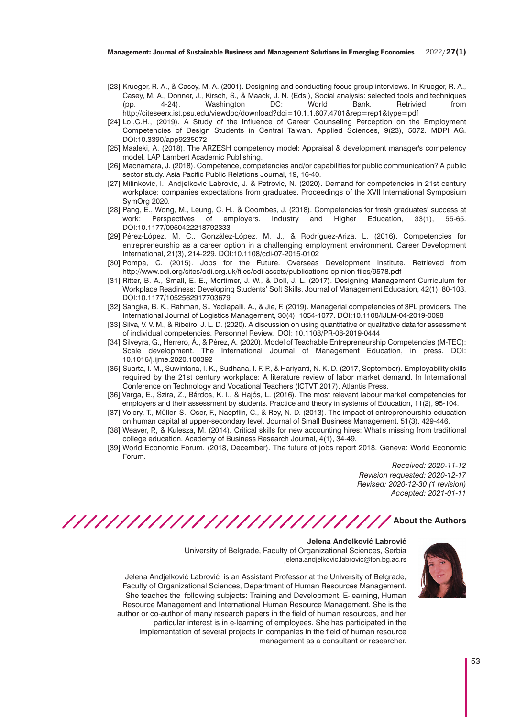- [23] Krueger, R. A., & Casey, M. A. (2001). Designing and conducting focus group interviews. In Krueger, R. A., Casey, M. A., Donner, J., Kirsch, S., & Maack, J. N. (Eds.), Social analysis: selected tools and techniques (pp. 4-24). Washington DC: World Bank. Retrivied from http://citeseerx.ist.psu.edu/viewdoc/download?doi=10.1.1.607.4701&rep=rep1&type=pdf
- [24] Lo.,C.H., (2019). A Study of the Influence of Career Counseling Perception on the Employment Competencies of Design Students in Central Taiwan. Applied Sciences, 9(23), 5072. MDPI AG. DOI:10.3390/app9235072
- [25] Maaleki, A. (2018). The ARZESH competency model: Appraisal & development manager's competency model. LAP Lambert Academic Publishing.
- [26] Macnamara, J. (2018). Competence, competencies and/or capabilities for public communication? A public sector study. Asia Pacific Public Relations Journal, 19, 16-40.
- [27] Milinkovic, I., Andjelkovic Labrovic, J. & Petrovic, N. (2020). Demand for competencies in 21st century workplace: companies expectations from graduates. Proceedings of the XVII International Symposium SymOrg 2020.
- [28] Pang, E., Wong, M., Leung, C. H., & Coombes, J. (2018). Competencies for fresh graduates' success at work: Perspectives of employers. Industry and Higher Education, 33(1), 55-65. DOI:10.1177/0950422218792333
- [29] Pérez-López, M. C., González-López, M. J., & Rodríguez-Ariza, L. (2016). Competencies for entrepreneurship as a career option in a challenging employment environment. Career Development International, 21(3), 214-229. DOI:10.1108/cdi-07-2015-0102
- [30] Pompa, C. (2015). Jobs for the Future. Overseas Development Institute. Retrieved from http://www.odi.org/sites/odi.org.uk/files/odi-assets/publications-opinion-files/9578.pdf
- [31] Ritter, B. A., Small, E. E., Mortimer, J. W., & Doll, J. L. (2017). Designing Management Curriculum for Workplace Readiness: Developing Students' Soft Skills. Journal of Management Education, 42(1), 80-103. DOI:10.1177/1052562917703679
- [32] Sangka, B. K., Rahman, S., Yadlapalli, A., & Jie, F. (2019). Managerial competencies of 3PL providers. The International Journal of Logistics Management, 30(4), 1054-1077. DOI:10.1108/IJLM-04-2019-0098
- [33] Silva, V. V. M., & Ribeiro, J. L. D. (2020). A discussion on using quantitative or qualitative data for assessment of individual competencies. Personnel Review. DOI: 10.1108/PR-08-2019-0444
- [34] Silveyra, G., Herrero, Á., & Pérez, A. (2020). Model of Teachable Entrepreneurship Competencies (M-TEC): Scale development. The International Journal of Management Education, in press. DOI: 10.1016/j.ijme.2020.100392
- [35] Suarta, I. M., Suwintana, I. K., Sudhana, I. F. P., & Hariyanti, N. K. D. (2017, September). Employability skills required by the 21st century workplace: A literature review of labor market demand. In International Conference on Technology and Vocational Teachers (ICTVT 2017). Atlantis Press.
- [36] Varga, E., Szira, Z., Bárdos, K. I., & Hajós, L. (2016). The most relevant labour market competencies for employers and their assessment by students. Practice and theory in systems of Education, 11(2), 95-104.
- [37] Volery, T., Müller, S., Oser, F., Naepflin, C., & Rey, N. D. (2013). The impact of entrepreneurship education on human capital at upper‐secondary level. Journal of Small Business Management, 51(3), 429-446.
- [38] Weaver, P., & Kulesza, M. (2014). Critical skills for new accounting hires: What's missing from traditional college education. Academy of Business Research Journal, 4(1), 34-49.
- [39] World Economic Forum. (2018, December). The future of jobs report 2018. Geneva: World Economic Forum.

*Received: 2020-11-12 Revision requested: 2020-12-17 Revised: 2020-12-30 (1 revision) Accepted: 2021-01-11*

////////////////////////////// About the Authors

# **Jelena Anđelković Labrović**





Jelena Andjelković Labrović is an Assistant Professor at the University of Belgrade, Faculty of Organizational Sciences, Department of Human Resources Management. She teaches the following subjects: Training and Development, E-learning, Human Resource Management and International Human Resource Management. She is the author or co-author of many research papers in the field of human resources, and her particular interest is in e-learning of employees. She has participated in the implementation of several projects in companies in the field of human resource management as a consultant or researcher.